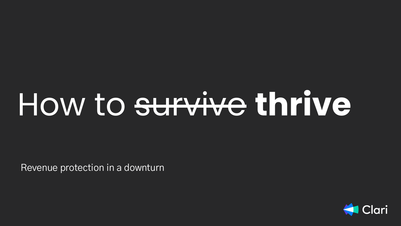# How to survive **thrive**

Revenue protection in a downturn

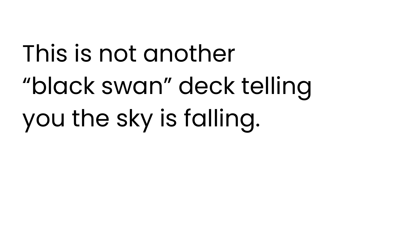# This is not another "black swan" deck telling you the sky is falling.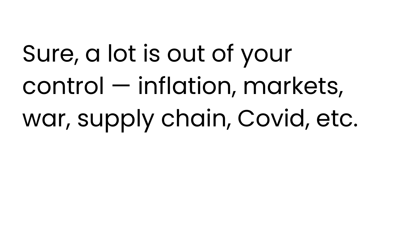Sure, a lot is out of your control — inflation, markets, war, supply chain, Covid, etc.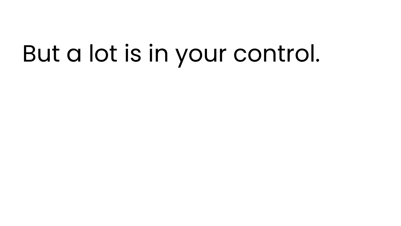### But a lot is in your control.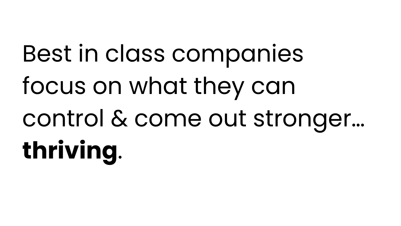Best in class companies focus on what they can control & come out stronger… **thriving**.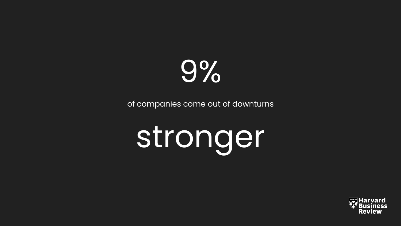

of companies come out of downturns

# stronger

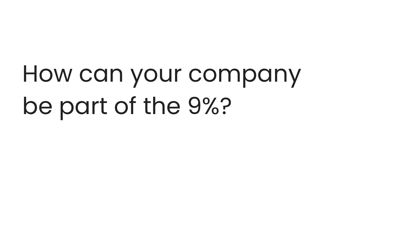### How can your company be part of the 9%?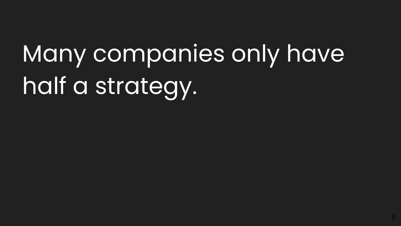# Many companies only have half a strategy.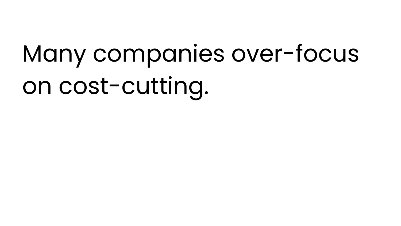# Many companies over-focus on cost-cutting.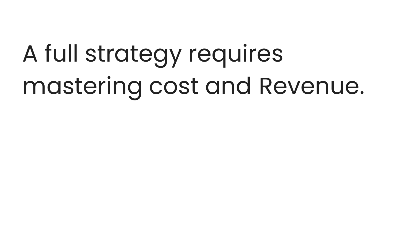# A full strategy requires mastering cost and Revenue.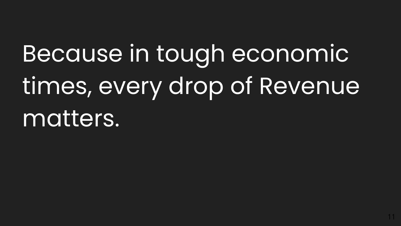### Because in tough economic times, every drop of Revenue matters.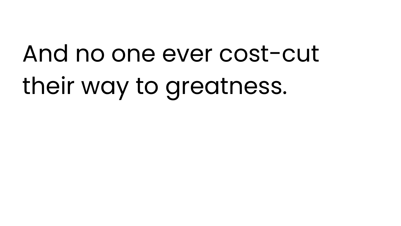# And no one ever cost-cut their way to greatness.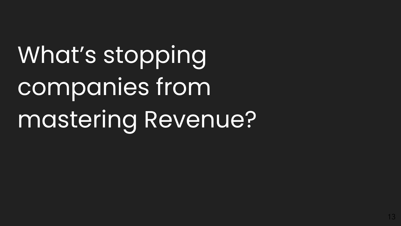What's stopping companies from mastering Revenue?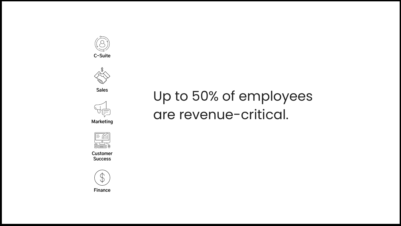



**Sales**



**Marketing**



**Customer Success**



**Finance**

#### Up to 50% of employees are revenue-critical.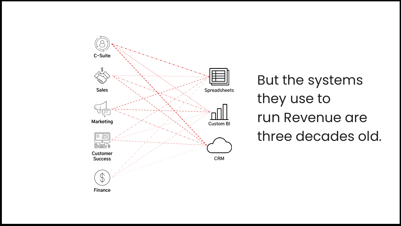

But the systems they use to run Revenue are three decades old.

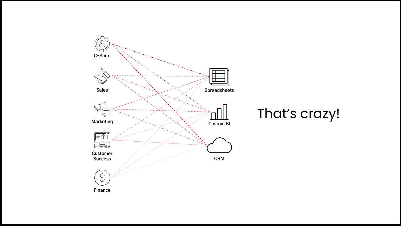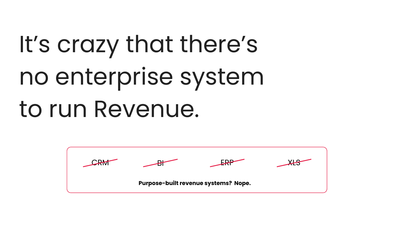# It's crazy that there's no enterprise system to run Revenue.

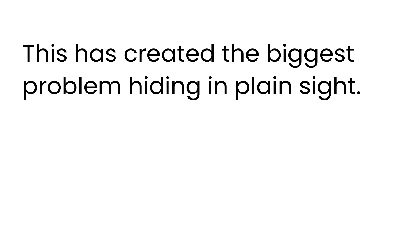# This has created the biggest problem hiding in plain sight.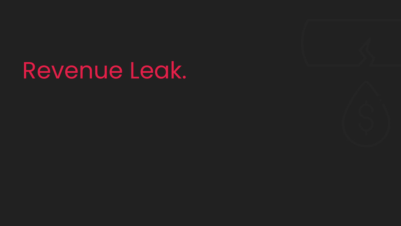#### Revenue Leak.

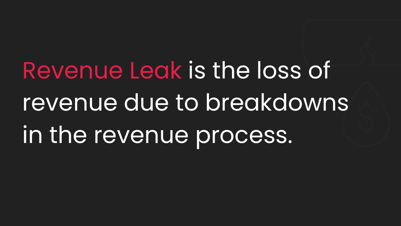Revenue Leak is the loss of revenue due to breakdowns in the revenue process.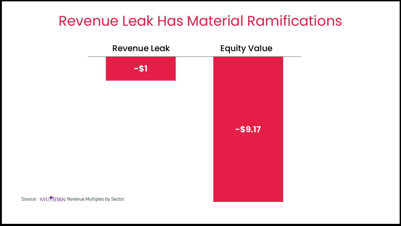#### Revenue Leak Has Material Ramifications

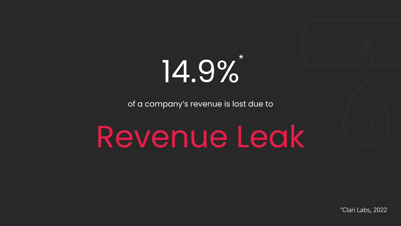

of a company's revenue is lost due to

Revenue Leak

\*Clari Labs, 2022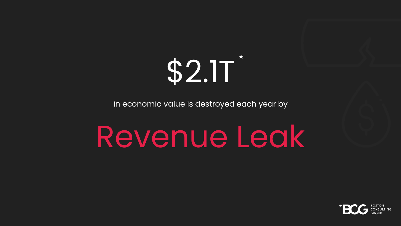

in economic value is destroyed each year by

### Revenue Leak

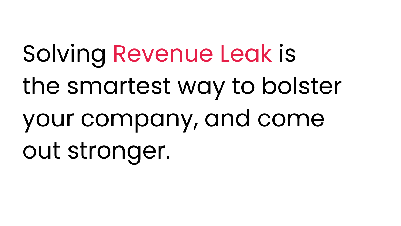Solving Revenue Leak is the smartest way to bolster your company, and come out stronger.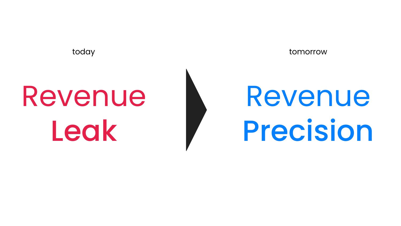# Revenue Leak



today tomorrow

# Revenue Precision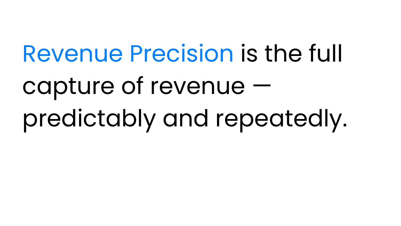# Revenue Precision is the full capture of revenue predictably and repeatedly.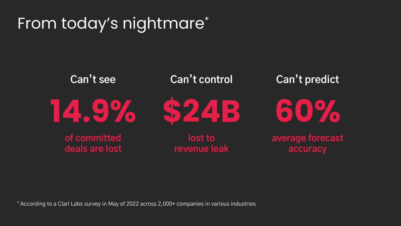#### From today's nightmare\*



\* According to a Clari Labs survey in May of 2022 across 2,000+ companies in various industries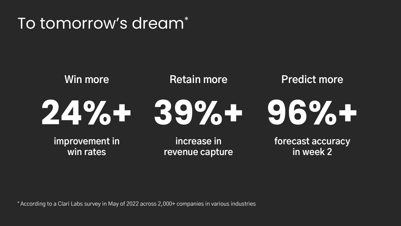#### To tomorrow's dream\*



**win rates**

**revenue capture**

**forecast accuracy in week 2**

\* According to a Clari Labs survey in May of 2022 across 2,000+ companies in various industries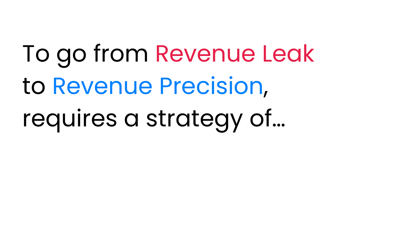To go from Revenue Leak to Revenue Precision,

requires a strategy of…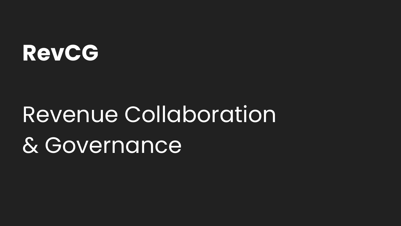#### **RevCG**

#### Revenue Collaboration & Governance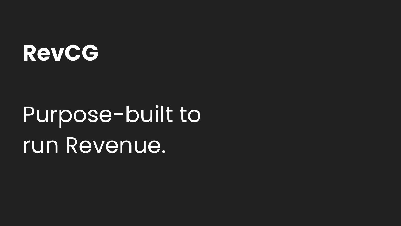#### **RevCG**

#### Purpose-built to run Revenue.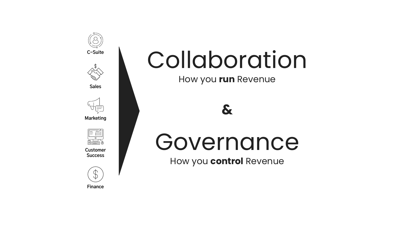

#### Collaboration

How you **run** Revenue



How you **control** Revenue

**Customer** 

**Marketing**

**Success**



**Finance**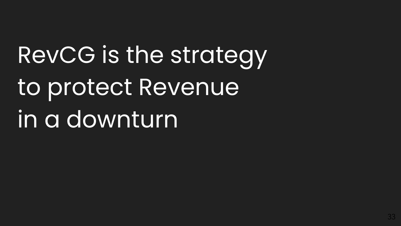# RevCG is the strategy to protect Revenue in a downturn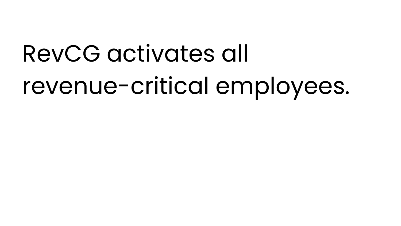### RevCG activates all revenue-critical employees.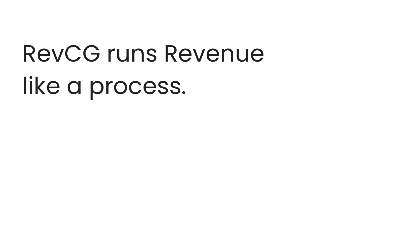# RevCG runs Revenue like a process.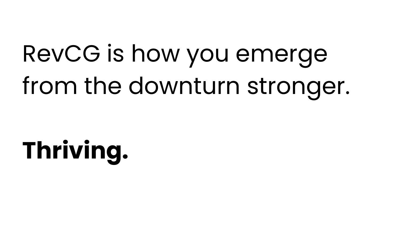## RevCG is how you emerge from the downturn stronger.

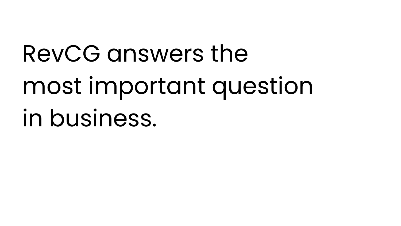# RevCG answers the most important question in business.